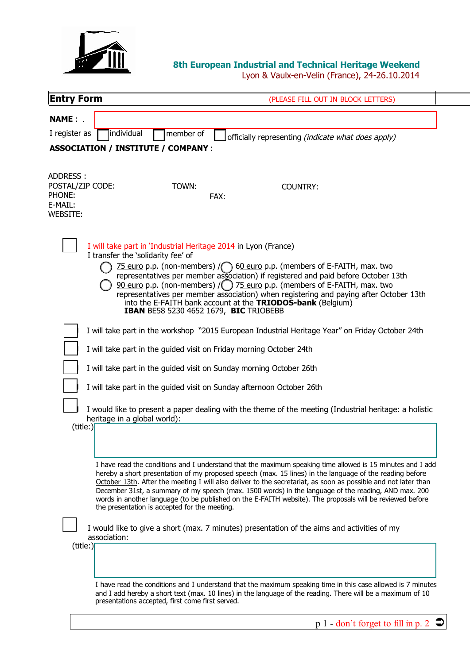

## **8th European Industrial and Technical Heritage Weekend**

Lyon & Vaulx-en-Velin (France), 24-26.10.2014

| <b>Entry Form</b>                                                    | (PLEASE FILL OUT IN BLOCK LETTERS)                                                                                                                                                                                                                                                                                                                                                                                                                                                                                                                                                                                                                                                                           |
|----------------------------------------------------------------------|--------------------------------------------------------------------------------------------------------------------------------------------------------------------------------------------------------------------------------------------------------------------------------------------------------------------------------------------------------------------------------------------------------------------------------------------------------------------------------------------------------------------------------------------------------------------------------------------------------------------------------------------------------------------------------------------------------------|
| <b>NAME:</b><br>I register as<br>individual                          | member of<br>officially representing (indicate what does apply)                                                                                                                                                                                                                                                                                                                                                                                                                                                                                                                                                                                                                                              |
| <b>ASSOCIATION / INSTITUTE / COMPANY :</b>                           |                                                                                                                                                                                                                                                                                                                                                                                                                                                                                                                                                                                                                                                                                                              |
| ADDRESS:<br>POSTAL/ZIP CODE:<br>PHONE:<br>E-MAIL:<br><b>WEBSITE:</b> | TOWN:<br><b>COUNTRY:</b><br>FAX:                                                                                                                                                                                                                                                                                                                                                                                                                                                                                                                                                                                                                                                                             |
| I transfer the 'solidarity fee' of                                   | I will take part in 'Industrial Heritage 2014 in Lyon (France)<br>75 euro p.p. (non-members) / $\bigcap$ 60 euro p.p. (members of E-FAITH, max. two<br>representatives per member association) if registered and paid before October 13th<br><u>90 euro</u> p.p. (non-members) $/$ ( $\overline{})$ 75 euro p.p. (members of E-FAITH, max. two<br>representatives per member association) when registering and paying after October 13th<br>into the E-FAITH bank account at the TRIODOS-bank (Belgium)<br><b>IBAN BE58 5230 4652 1679, BIC TRIOBEBB</b>                                                                                                                                                     |
|                                                                      | I will take part in the workshop "2015 European Industrial Heritage Year" on Friday October 24th                                                                                                                                                                                                                                                                                                                                                                                                                                                                                                                                                                                                             |
|                                                                      | I will take part in the guided visit on Friday morning October 24th                                                                                                                                                                                                                                                                                                                                                                                                                                                                                                                                                                                                                                          |
|                                                                      | I will take part in the guided visit on Sunday morning October 26th                                                                                                                                                                                                                                                                                                                                                                                                                                                                                                                                                                                                                                          |
|                                                                      | I will take part in the guided visit on Sunday afternoon October 26th                                                                                                                                                                                                                                                                                                                                                                                                                                                                                                                                                                                                                                        |
| heritage in a global world):<br>(title:)                             | I would like to present a paper dealing with the theme of the meeting (Industrial heritage: a holistic                                                                                                                                                                                                                                                                                                                                                                                                                                                                                                                                                                                                       |
| association:<br>(title:)                                             | I have read the conditions and I understand that the maximum speaking time allowed is 15 minutes and I add<br>hereby a short presentation of my proposed speech (max. 15 lines) in the language of the reading before<br>October 13th. After the meeting I will also deliver to the secretariat, as soon as possible and not later than<br>December 31st, a summary of my speech (max. 1500 words) in the language of the reading, AND max. 200<br>words in another language (to be published on the E-FAITH website). The proposals will be reviewed before<br>the presentation is accepted for the meeting.<br>I would like to give a short (max. 7 minutes) presentation of the aims and activities of my |
|                                                                      | I have read the conditions and I understand that the maximum speaking time in this case allowed is 7 minutes<br>and I add hereby a short text (max. 10 lines) in the language of the reading. There will be a maximum of 10<br>presentations accepted, first come first served.<br>$p 1$ - don't forget to fill in p. 2                                                                                                                                                                                                                                                                                                                                                                                      |